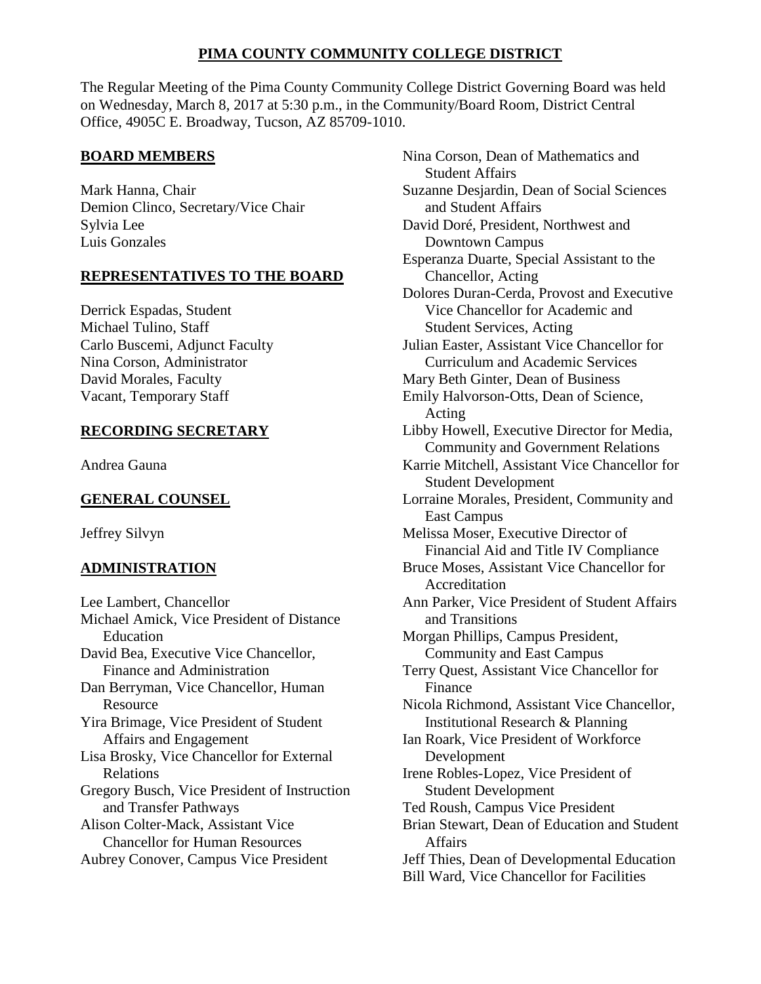# **PIMA COUNTY COMMUNITY COLLEGE DISTRICT**

The Regular Meeting of the Pima County Community College District Governing Board was held on Wednesday, March 8, 2017 at 5:30 p.m., in the Community/Board Room, District Central Office, 4905C E. Broadway, Tucson, AZ 85709-1010.

# **BOARD MEMBERS**

Mark Hanna, Chair Demion Clinco, Secretary/Vice Chair Sylvia Lee Luis Gonzales

# **REPRESENTATIVES TO THE BOARD**

Derrick Espadas, Student Michael Tulino, Staff Carlo Buscemi, Adjunct Faculty Nina Corson, Administrator David Morales, Faculty Vacant, Temporary Staff

# **RECORDING SECRETARY**

Andrea Gauna

# **GENERAL COUNSEL**

Jeffrey Silvyn

# **ADMINISTRATION**

Lee Lambert, Chancellor Michael Amick, Vice President of Distance Education David Bea, Executive Vice Chancellor, Finance and Administration Dan Berryman, Vice Chancellor, Human **Resource** Yira Brimage, Vice President of Student Affairs and Engagement Lisa Brosky, Vice Chancellor for External Relations Gregory Busch, Vice President of Instruction and Transfer Pathways Alison Colter-Mack, Assistant Vice Chancellor for Human Resources Aubrey Conover, Campus Vice President

Nina Corson, Dean of Mathematics and Student Affairs Suzanne Desjardin, Dean of Social Sciences and Student Affairs David Doré, President, Northwest and Downtown Campus Esperanza Duarte, Special Assistant to the Chancellor, Acting Dolores Duran-Cerda, Provost and Executive Vice Chancellor for Academic and Student Services, Acting Julian Easter, Assistant Vice Chancellor for Curriculum and Academic Services Mary Beth Ginter, Dean of Business Emily Halvorson-Otts, Dean of Science, Acting Libby Howell, Executive Director for Media, Community and Government Relations Karrie Mitchell, Assistant Vice Chancellor for Student Development Lorraine Morales, President, Community and East Campus Melissa Moser, Executive Director of Financial Aid and Title IV Compliance Bruce Moses, Assistant Vice Chancellor for **Accreditation** Ann Parker, Vice President of Student Affairs and Transitions Morgan Phillips, Campus President, Community and East Campus Terry Quest, Assistant Vice Chancellor for Finance Nicola Richmond, Assistant Vice Chancellor, Institutional Research & Planning Ian Roark, Vice President of Workforce Development Irene Robles-Lopez, Vice President of Student Development Ted Roush, Campus Vice President Brian Stewart, Dean of Education and Student Affairs Jeff Thies, Dean of Developmental Education Bill Ward, Vice Chancellor for Facilities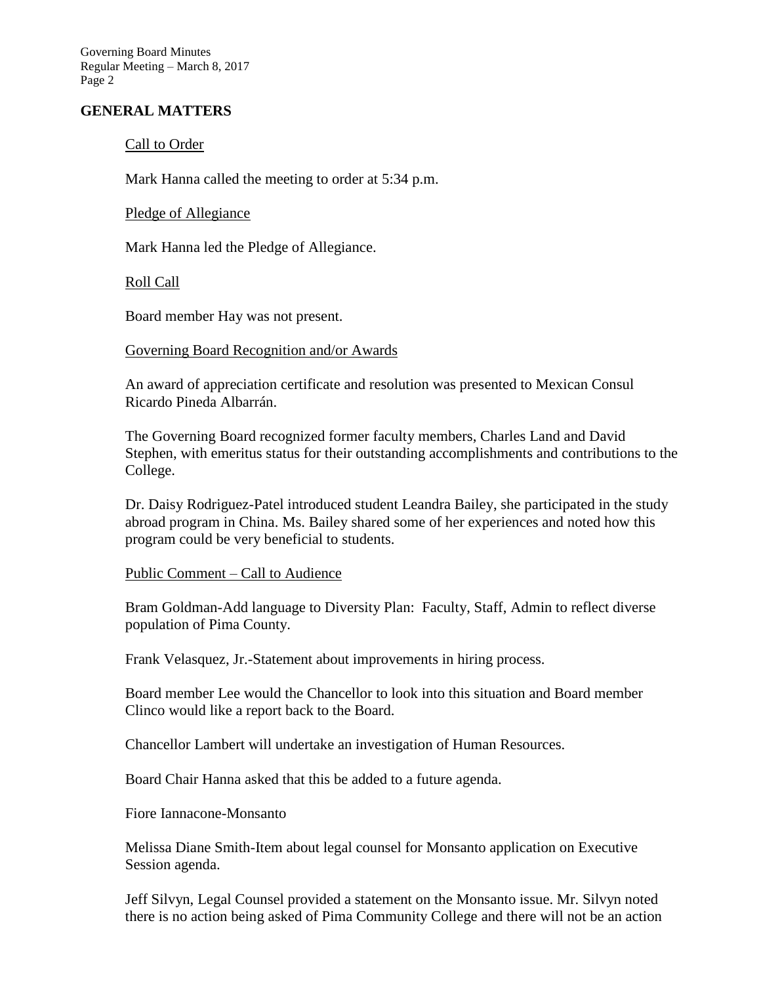# **GENERAL MATTERS**

### Call to Order

Mark Hanna called the meeting to order at 5:34 p.m.

# Pledge of Allegiance

Mark Hanna led the Pledge of Allegiance.

#### Roll Call

Board member Hay was not present.

#### Governing Board Recognition and/or Awards

An award of appreciation certificate and resolution was presented to Mexican Consul Ricardo Pineda Albarrán.

The Governing Board recognized former faculty members, Charles Land and David Stephen, with emeritus status for their outstanding accomplishments and contributions to the College.

Dr. Daisy Rodriguez-Patel introduced student Leandra Bailey, she participated in the study abroad program in China. Ms. Bailey shared some of her experiences and noted how this program could be very beneficial to students.

#### Public Comment – Call to Audience

Bram Goldman-Add language to Diversity Plan: Faculty, Staff, Admin to reflect diverse population of Pima County.

Frank Velasquez, Jr.-Statement about improvements in hiring process.

Board member Lee would the Chancellor to look into this situation and Board member Clinco would like a report back to the Board.

Chancellor Lambert will undertake an investigation of Human Resources.

Board Chair Hanna asked that this be added to a future agenda.

Fiore Iannacone-Monsanto

Melissa Diane Smith-Item about legal counsel for Monsanto application on Executive Session agenda.

Jeff Silvyn, Legal Counsel provided a statement on the Monsanto issue. Mr. Silvyn noted there is no action being asked of Pima Community College and there will not be an action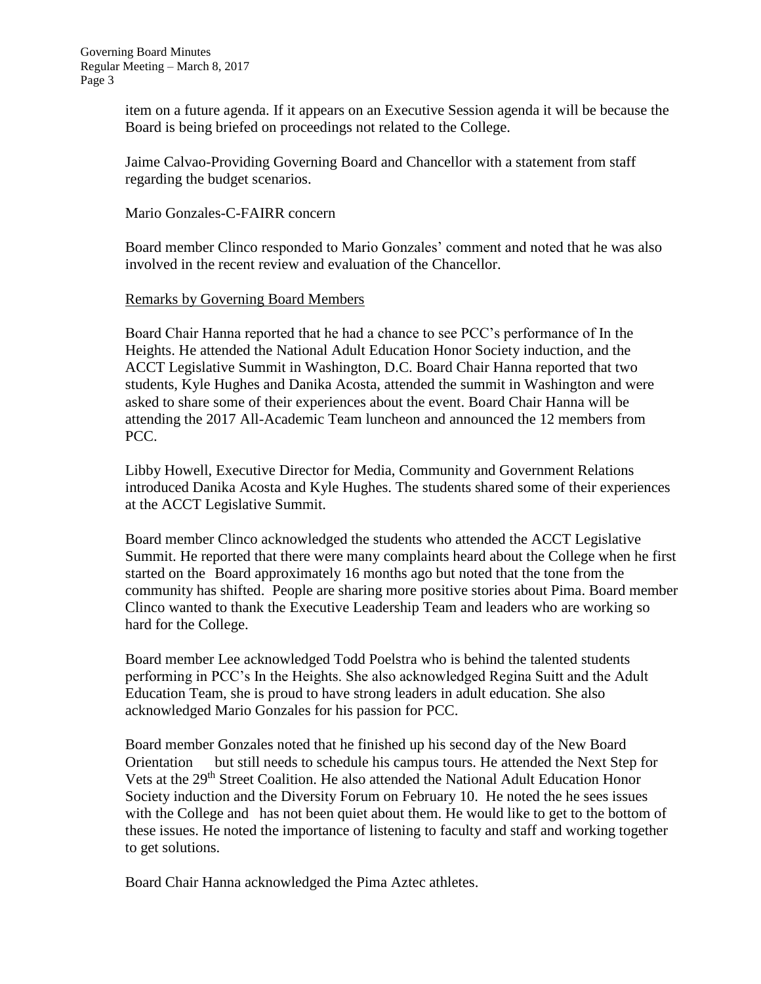item on a future agenda. If it appears on an Executive Session agenda it will be because the Board is being briefed on proceedings not related to the College.

Jaime Calvao-Providing Governing Board and Chancellor with a statement from staff regarding the budget scenarios.

#### Mario Gonzales-C-FAIRR concern

Board member Clinco responded to Mario Gonzales' comment and noted that he was also involved in the recent review and evaluation of the Chancellor.

#### Remarks by Governing Board Members

Board Chair Hanna reported that he had a chance to see PCC's performance of In the Heights. He attended the National Adult Education Honor Society induction, and the ACCT Legislative Summit in Washington, D.C. Board Chair Hanna reported that two students, Kyle Hughes and Danika Acosta, attended the summit in Washington and were asked to share some of their experiences about the event. Board Chair Hanna will be attending the 2017 All-Academic Team luncheon and announced the 12 members from PCC.

Libby Howell, Executive Director for Media, Community and Government Relations introduced Danika Acosta and Kyle Hughes. The students shared some of their experiences at the ACCT Legislative Summit.

Board member Clinco acknowledged the students who attended the ACCT Legislative Summit. He reported that there were many complaints heard about the College when he first started on the Board approximately 16 months ago but noted that the tone from the community has shifted. People are sharing more positive stories about Pima. Board member Clinco wanted to thank the Executive Leadership Team and leaders who are working so hard for the College.

Board member Lee acknowledged Todd Poelstra who is behind the talented students performing in PCC's In the Heights. She also acknowledged Regina Suitt and the Adult Education Team, she is proud to have strong leaders in adult education. She also acknowledged Mario Gonzales for his passion for PCC.

Board member Gonzales noted that he finished up his second day of the New Board Orientation but still needs to schedule his campus tours. He attended the Next Step for Vets at the 29<sup>th</sup> Street Coalition. He also attended the National Adult Education Honor Society induction and the Diversity Forum on February 10. He noted the he sees issues with the College and has not been quiet about them. He would like to get to the bottom of these issues. He noted the importance of listening to faculty and staff and working together to get solutions.

Board Chair Hanna acknowledged the Pima Aztec athletes.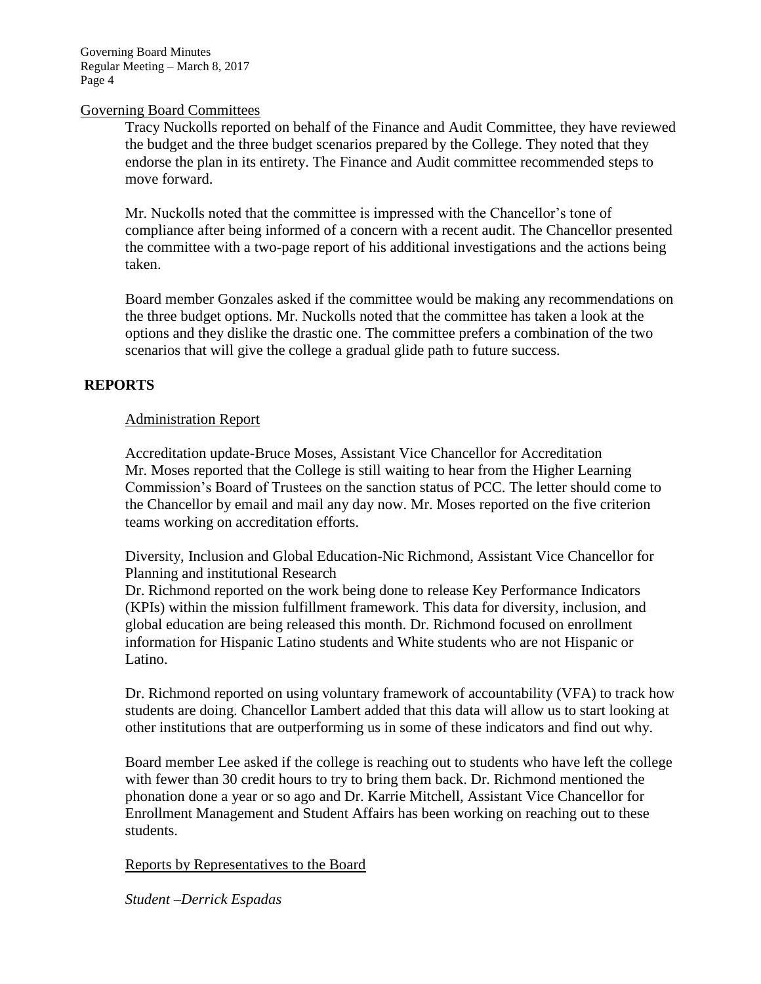#### Governing Board Committees

Tracy Nuckolls reported on behalf of the Finance and Audit Committee, they have reviewed the budget and the three budget scenarios prepared by the College. They noted that they endorse the plan in its entirety. The Finance and Audit committee recommended steps to move forward.

Mr. Nuckolls noted that the committee is impressed with the Chancellor's tone of compliance after being informed of a concern with a recent audit. The Chancellor presented the committee with a two-page report of his additional investigations and the actions being taken.

Board member Gonzales asked if the committee would be making any recommendations on the three budget options. Mr. Nuckolls noted that the committee has taken a look at the options and they dislike the drastic one. The committee prefers a combination of the two scenarios that will give the college a gradual glide path to future success.

# **REPORTS**

# Administration Report

Accreditation update-Bruce Moses, Assistant Vice Chancellor for Accreditation Mr. Moses reported that the College is still waiting to hear from the Higher Learning Commission's Board of Trustees on the sanction status of PCC. The letter should come to the Chancellor by email and mail any day now. Mr. Moses reported on the five criterion teams working on accreditation efforts.

Diversity, Inclusion and Global Education-Nic Richmond, Assistant Vice Chancellor for Planning and institutional Research

Dr. Richmond reported on the work being done to release Key Performance Indicators (KPIs) within the mission fulfillment framework. This data for diversity, inclusion, and global education are being released this month. Dr. Richmond focused on enrollment information for Hispanic Latino students and White students who are not Hispanic or Latino.

Dr. Richmond reported on using voluntary framework of accountability (VFA) to track how students are doing. Chancellor Lambert added that this data will allow us to start looking at other institutions that are outperforming us in some of these indicators and find out why.

Board member Lee asked if the college is reaching out to students who have left the college with fewer than 30 credit hours to try to bring them back. Dr. Richmond mentioned the phonation done a year or so ago and Dr. Karrie Mitchell, Assistant Vice Chancellor for Enrollment Management and Student Affairs has been working on reaching out to these students.

Reports by Representatives to the Board

*Student –Derrick Espadas*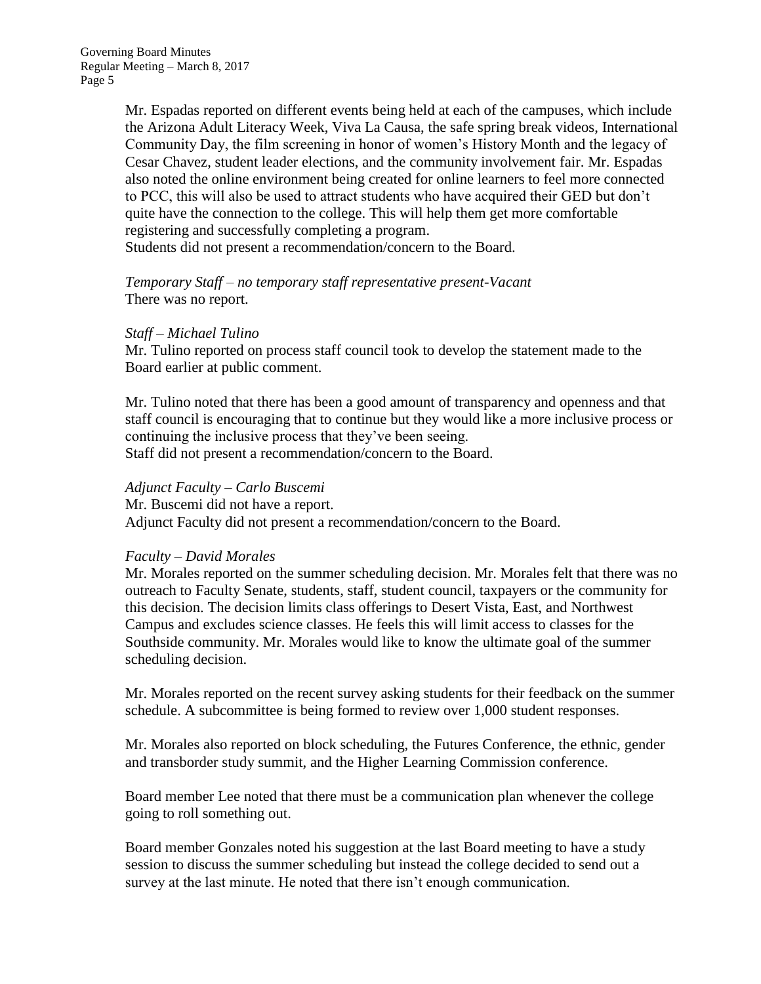Mr. Espadas reported on different events being held at each of the campuses, which include the Arizona Adult Literacy Week, Viva La Causa, the safe spring break videos, International Community Day, the film screening in honor of women's History Month and the legacy of Cesar Chavez, student leader elections, and the community involvement fair. Mr. Espadas also noted the online environment being created for online learners to feel more connected to PCC, this will also be used to attract students who have acquired their GED but don't quite have the connection to the college. This will help them get more comfortable registering and successfully completing a program. Students did not present a recommendation/concern to the Board.

*Temporary Staff – no temporary staff representative present-Vacant* There was no report.

# *Staff – Michael Tulino*

Mr. Tulino reported on process staff council took to develop the statement made to the Board earlier at public comment.

Mr. Tulino noted that there has been a good amount of transparency and openness and that staff council is encouraging that to continue but they would like a more inclusive process or continuing the inclusive process that they've been seeing. Staff did not present a recommendation/concern to the Board.

#### *Adjunct Faculty – Carlo Buscemi*

Mr. Buscemi did not have a report. Adjunct Faculty did not present a recommendation/concern to the Board.

#### *Faculty – David Morales*

Mr. Morales reported on the summer scheduling decision. Mr. Morales felt that there was no outreach to Faculty Senate, students, staff, student council, taxpayers or the community for this decision. The decision limits class offerings to Desert Vista, East, and Northwest Campus and excludes science classes. He feels this will limit access to classes for the Southside community. Mr. Morales would like to know the ultimate goal of the summer scheduling decision.

Mr. Morales reported on the recent survey asking students for their feedback on the summer schedule. A subcommittee is being formed to review over 1,000 student responses.

Mr. Morales also reported on block scheduling, the Futures Conference, the ethnic, gender and transborder study summit, and the Higher Learning Commission conference.

Board member Lee noted that there must be a communication plan whenever the college going to roll something out.

Board member Gonzales noted his suggestion at the last Board meeting to have a study session to discuss the summer scheduling but instead the college decided to send out a survey at the last minute. He noted that there isn't enough communication.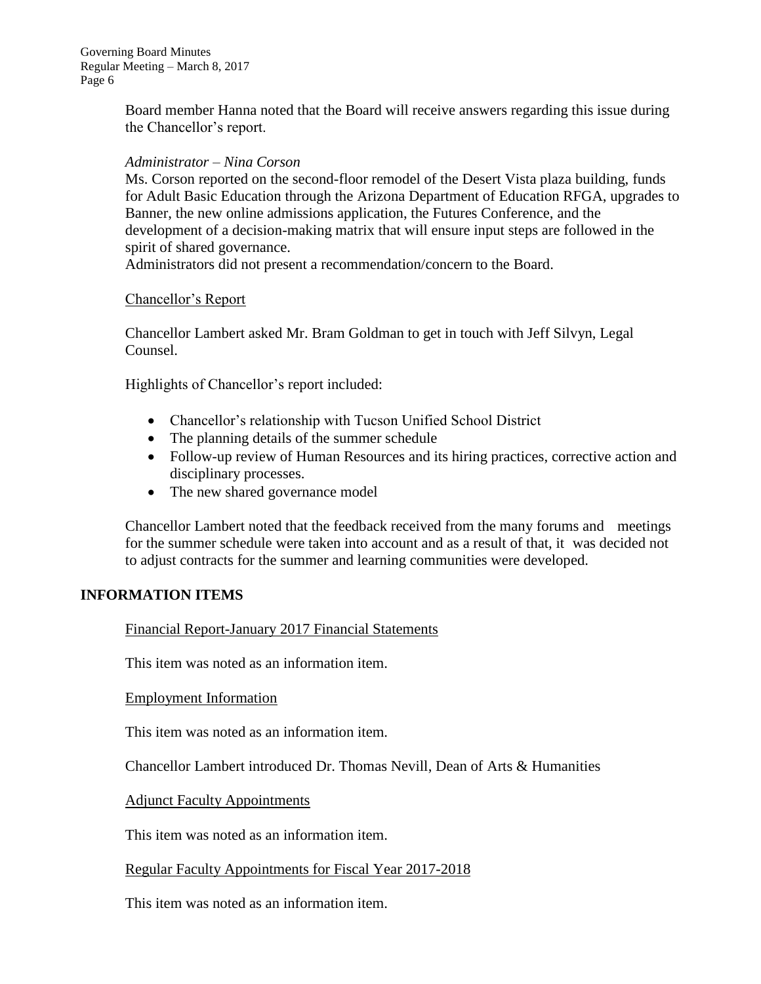> Board member Hanna noted that the Board will receive answers regarding this issue during the Chancellor's report.

#### *Administrator – Nina Corson*

Ms. Corson reported on the second-floor remodel of the Desert Vista plaza building, funds for Adult Basic Education through the Arizona Department of Education RFGA, upgrades to Banner, the new online admissions application, the Futures Conference, and the development of a decision-making matrix that will ensure input steps are followed in the spirit of shared governance.

Administrators did not present a recommendation/concern to the Board.

#### Chancellor's Report

Chancellor Lambert asked Mr. Bram Goldman to get in touch with Jeff Silvyn, Legal Counsel.

Highlights of Chancellor's report included:

- Chancellor's relationship with Tucson Unified School District
- The planning details of the summer schedule
- Follow-up review of Human Resources and its hiring practices, corrective action and disciplinary processes.
- The new shared governance model

Chancellor Lambert noted that the feedback received from the many forums and meetings for the summer schedule were taken into account and as a result of that, it was decided not to adjust contracts for the summer and learning communities were developed.

# **INFORMATION ITEMS**

Financial Report-January 2017 Financial Statements

This item was noted as an information item.

#### Employment Information

This item was noted as an information item.

Chancellor Lambert introduced Dr. Thomas Nevill, Dean of Arts & Humanities

Adjunct Faculty Appointments

This item was noted as an information item.

# Regular Faculty Appointments for Fiscal Year 2017-2018

This item was noted as an information item.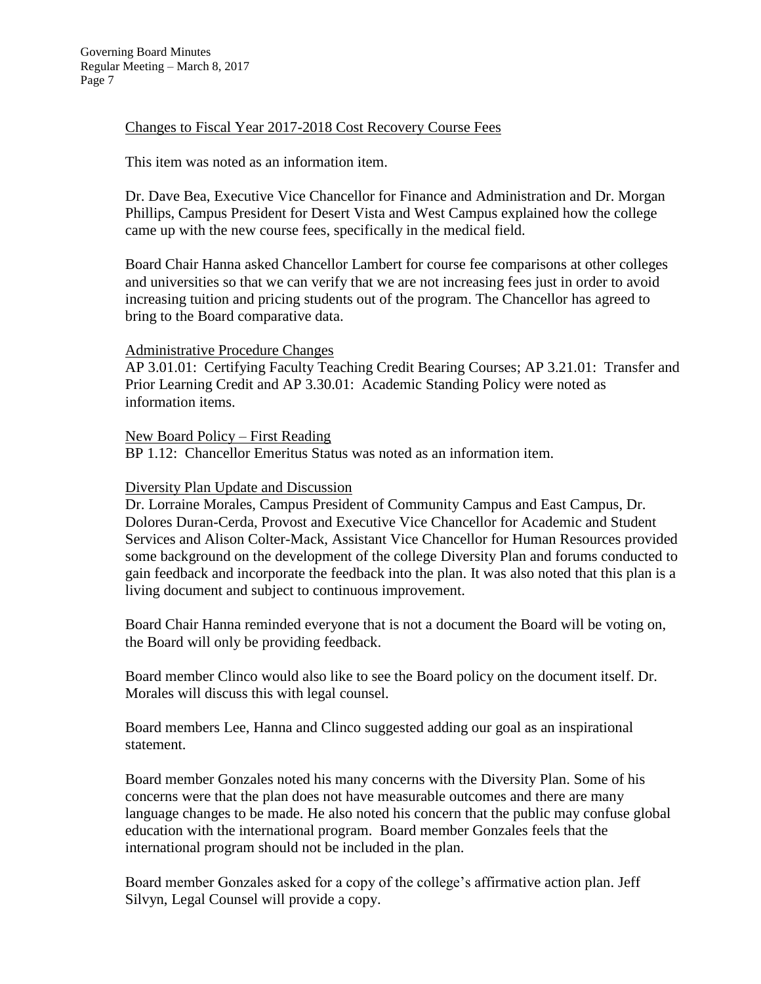# Changes to Fiscal Year 2017-2018 Cost Recovery Course Fees

# This item was noted as an information item.

Dr. Dave Bea, Executive Vice Chancellor for Finance and Administration and Dr. Morgan Phillips, Campus President for Desert Vista and West Campus explained how the college came up with the new course fees, specifically in the medical field.

Board Chair Hanna asked Chancellor Lambert for course fee comparisons at other colleges and universities so that we can verify that we are not increasing fees just in order to avoid increasing tuition and pricing students out of the program. The Chancellor has agreed to bring to the Board comparative data.

# Administrative Procedure Changes

AP 3.01.01: Certifying Faculty Teaching Credit Bearing Courses; AP 3.21.01: Transfer and Prior Learning Credit and AP 3.30.01: Academic Standing Policy were noted as information items.

# New Board Policy – First Reading

BP 1.12: Chancellor Emeritus Status was noted as an information item.

# Diversity Plan Update and Discussion

Dr. Lorraine Morales, Campus President of Community Campus and East Campus, Dr. Dolores Duran-Cerda, Provost and Executive Vice Chancellor for Academic and Student Services and Alison Colter-Mack, Assistant Vice Chancellor for Human Resources provided some background on the development of the college Diversity Plan and forums conducted to gain feedback and incorporate the feedback into the plan. It was also noted that this plan is a living document and subject to continuous improvement.

Board Chair Hanna reminded everyone that is not a document the Board will be voting on, the Board will only be providing feedback.

Board member Clinco would also like to see the Board policy on the document itself. Dr. Morales will discuss this with legal counsel.

Board members Lee, Hanna and Clinco suggested adding our goal as an inspirational statement.

Board member Gonzales noted his many concerns with the Diversity Plan. Some of his concerns were that the plan does not have measurable outcomes and there are many language changes to be made. He also noted his concern that the public may confuse global education with the international program. Board member Gonzales feels that the international program should not be included in the plan.

Board member Gonzales asked for a copy of the college's affirmative action plan. Jeff Silvyn, Legal Counsel will provide a copy.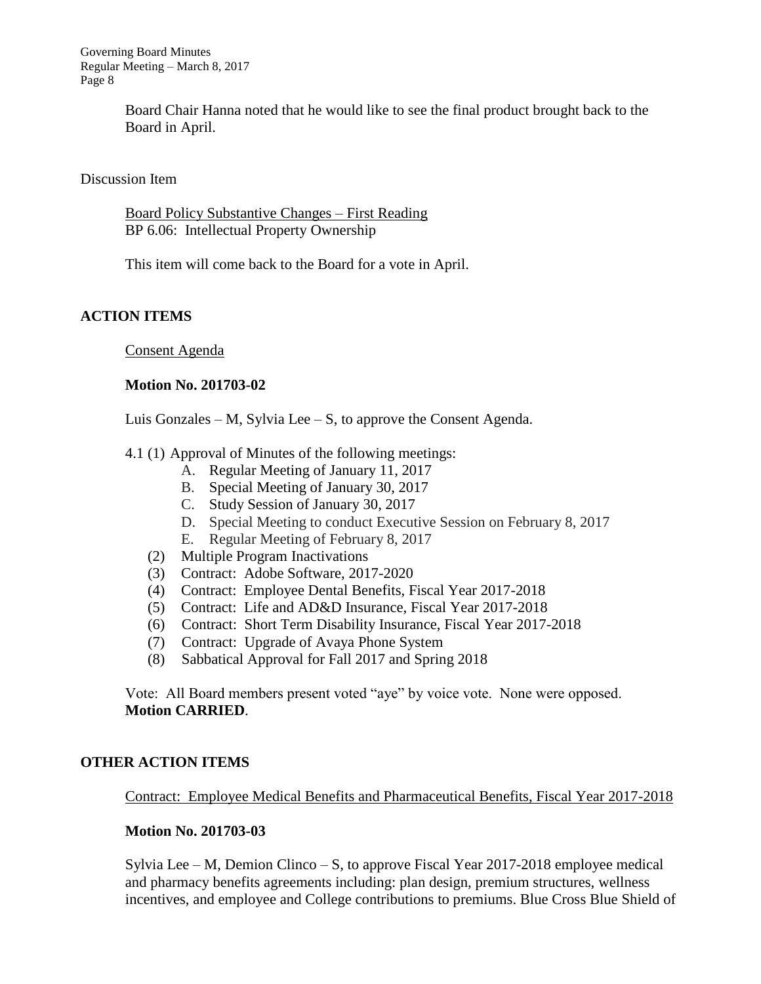> Board Chair Hanna noted that he would like to see the final product brought back to the Board in April.

Discussion Item

Board Policy Substantive Changes – First Reading BP 6.06: Intellectual Property Ownership

This item will come back to the Board for a vote in April.

# **ACTION ITEMS**

Consent Agenda

#### **Motion No. 201703-02**

Luis Gonzales – M, Sylvia Lee – S, to approve the Consent Agenda.

- 4.1 (1) Approval of Minutes of the following meetings:
	- A. Regular Meeting of January 11, 2017
	- B. Special Meeting of January 30, 2017
	- C. Study Session of January 30, 2017
	- D. Special Meeting to conduct Executive Session on February 8, 2017
	- E. Regular Meeting of February 8, 2017
	- (2) Multiple Program Inactivations
	- (3) Contract: Adobe Software, 2017-2020
	- (4) Contract: Employee Dental Benefits, Fiscal Year 2017-2018
	- (5) Contract: Life and AD&D Insurance, Fiscal Year 2017-2018
	- (6) Contract: Short Term Disability Insurance, Fiscal Year 2017-2018
	- (7) Contract: Upgrade of Avaya Phone System
	- (8) Sabbatical Approval for Fall 2017 and Spring 2018

Vote: All Board members present voted "aye" by voice vote. None were opposed. **Motion CARRIED**.

# **OTHER ACTION ITEMS**

Contract: Employee Medical Benefits and Pharmaceutical Benefits, Fiscal Year 2017-2018

# **Motion No. 201703-03**

Sylvia Lee – M, Demion Clinco – S, to approve Fiscal Year 2017-2018 employee medical and pharmacy benefits agreements including: plan design, premium structures, wellness incentives, and employee and College contributions to premiums. Blue Cross Blue Shield of